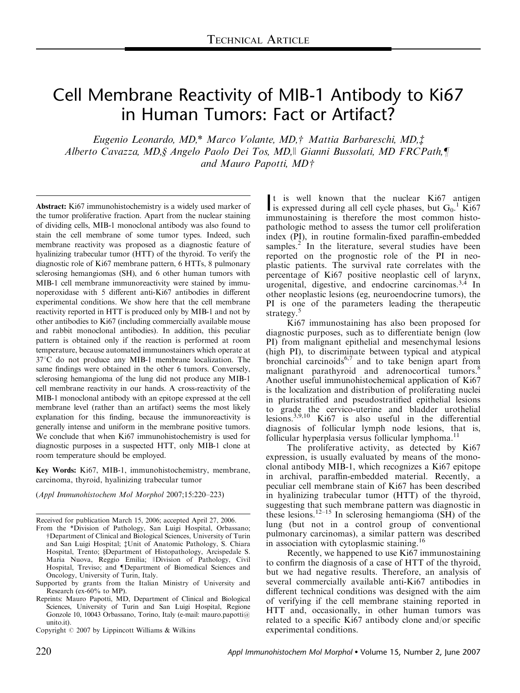# Cell Membrane Reactivity of MIB-1 Antibody to Ki67 in Human Tumors: Fact or Artifact?

Eugenio Leonardo, MD,\* Marco Volante, MD,† Mattia Barbareschi, MD,‡ Alberto Cavazza, MD, § Angelo Paolo Dei Tos, MD, || Gianni Bussolati, MD FRCPath, ¶ and Mauro Papotti,  $MDf$ 

Abstract: Ki67 immunohistochemistry is a widely used marker of the tumor proliferative fraction. Apart from the nuclear staining of dividing cells, MIB-1 monoclonal antibody was also found to stain the cell membrane of some tumor types. Indeed, such membrane reactivity was proposed as a diagnostic feature of hyalinizing trabecular tumor (HTT) of the thyroid. To verify the diagnostic role of Ki67 membrane pattern, 6 HTTs, 8 pulmonary sclerosing hemangiomas (SH), and 6 other human tumors with MIB-1 cell membrane immunoreactivity were stained by immunoperoxidase with 5 different anti-Ki67 antibodies in different experimental conditions. We show here that the cell membrane reactivity reported in HTT is produced only by MIB-1 and not by other antibodies to Ki67 (including commercially available mouse and rabbit monoclonal antibodies). In addition, this peculiar pattern is obtained only if the reaction is performed at room temperature, because automated immunostainers which operate at  $37^{\circ}$ C do not produce any MIB-1 membrane localization. The same findings were obtained in the other 6 tumors. Conversely, sclerosing hemangioma of the lung did not produce any MIB-1 cell membrane reactivity in our hands. A cross-reactivity of the MIB-1 monoclonal antibody with an epitope expressed at the cell membrane level (rather than an artifact) seems the most likely explanation for this finding, because the immunoreactivity is generally intense and uniform in the membrane positive tumors. We conclude that when Ki67 immunohistochemistry is used for diagnostic purposes in a suspected HTT, only MIB-1 clone at room temperature should be employed.

Key Words: Ki67, MIB-1, immunohistochemistry, membrane, carcinoma, thyroid, hyalinizing trabecular tumor

(Appl Immunohistochem Mol Morphol 2007;15:220–223)

Received for publication March 15, 2006; accepted April 27, 2006.

Copyright  $\odot$  2007 by Lippincott Williams & Wilkins experimental conditions.

It is well known that the nuclear Ki67 antigen<br>is expressed during all cell cycle phases, but  $G_0$ . Ki67 is expressed during all cell cycle phases, but  $G_0$ .<sup>1</sup> Ki67 immunostaining is therefore the most common histopathologic method to assess the tumor cell proliferation index (PI), in routine formalin-fixed paraffin-embedded samples.<sup>2</sup> In the literature, several studies have been reported on the prognostic role of the PI in neoplastic patients. The survival rate correlates with the percentage of Ki67 positive neoplastic cell of larynx, urogenital, digestive, and endocrine carcinomas.3,4 In other neoplastic lesions (eg, neuroendocrine tumors), the PI is one of the parameters leading the therapeutic strategy.<sup>5</sup>

Ki67 immunostaining has also been proposed for diagnostic purposes, such as to differentiate benign (low PI) from malignant epithelial and mesenchymal lesions (high PI), to discriminate between typical and atypical bronchial carcinoids $6,7$  and to take benign apart from malignant parathyroid and adrenocortical tumors.<sup>8</sup> Another useful immunohistochemical application of Ki67 is the localization and distribution of proliferating nuclei in pluristratified and pseudostratified epithelial lesions to grade the cervico-uterine and bladder urothelial lesions.<sup>3,9,10</sup> Ki67 is also useful in the differential diagnosis of follicular lymph node lesions, that is, follicular hyperplasia versus follicular lymphoma.<sup>11</sup>

The proliferative activity, as detected by Ki67 expression, is usually evaluated by means of the monoclonal antibody MIB-1, which recognizes a Ki67 epitope in archival, paraffin-embedded material. Recently, a peculiar cell membrane stain of Ki67 has been described in hyalinizing trabecular tumor (HTT) of the thyroid, suggesting that such membrane pattern was diagnostic in these lesions.<sup>12–15</sup> In sclerosing hemangioma (SH) of the lung (but not in a control group of conventional pulmonary carcinomas), a similar pattern was described in association with cytoplasmic staining.<sup>16</sup>

Recently, we happened to use Ki67 immunostaining to confirm the diagnosis of a case of HTT of the thyroid, but we had negative results. Therefore, an analysis of several commercially available anti-Ki67 antibodies in different technical conditions was designed with the aim of verifying if the cell membrane staining reported in HTT and, occasionally, in other human tumors was related to a specific Ki67 antibody clone and/or specific

From the \*Division of Pathology, San Luigi Hospital, Orbassano; wDepartment of Clinical and Biological Sciences, University of Turin and San Luigi Hospital; ¡Unit of Anatomic Pathology, S. Chiara Hospital, Trento; §Department of Histopathology, Arcispedale S. Maria Nuova, Reggio Emilia; ||Division of Pathology, Civil Hospital, Treviso; and *Department* of Biomedical Sciences and Oncology, University of Turin, Italy.

Supported by grants from the Italian Ministry of University and Research (ex-60% to MP).

Reprints: Mauro Papotti, MD, Department of Clinical and Biological Sciences, University of Turin and San Luigi Hospital, Regione Gonzole 10, 10043 Orbassano, Torino, Italy (e-mail: mauro.papotti@ unito.it).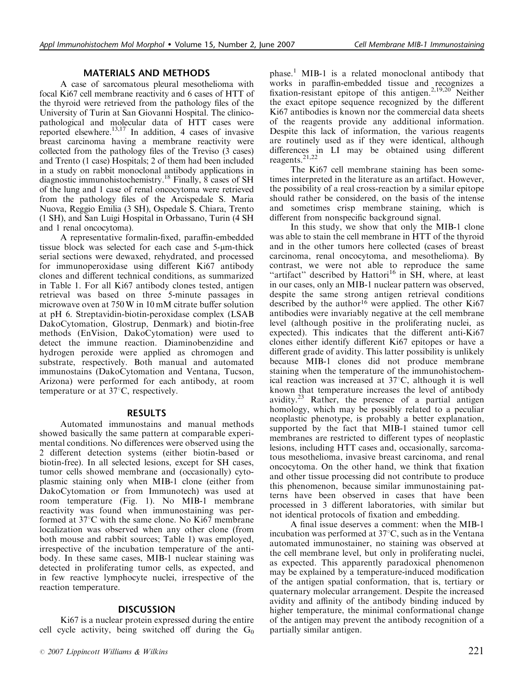### MATERIALS AND METHODS

A case of sarcomatous pleural mesothelioma with focal Ki67 cell membrane reactivity and 6 cases of HTT of the thyroid were retrieved from the pathology files of the University of Turin at San Giovanni Hospital. The clinicopathological and molecular data of HTT cases were reported elsewhere.13,17 In addition, 4 cases of invasive breast carcinoma having a membrane reactivity were collected from the pathology files of the Treviso (3 cases) and Trento (1 case) Hospitals; 2 of them had been included in a study on rabbit monoclonal antibody applications in diagnostic immunohistochemistry.<sup>18</sup> Finally, 8 cases of SH of the lung and 1 case of renal oncocytoma were retrieved from the pathology files of the Arcispedale S. Maria Nuova, Reggio Emilia (3 SH), Ospedale S. Chiara, Trento (1 SH), and San Luigi Hospital in Orbassano, Turin (4 SH and 1 renal oncocytoma).

A representative formalin-fixed, paraffin-embedded tissue block was selected for each case and 5-um-thick serial sections were dewaxed, rehydrated, and processed for immunoperoxidase using different Ki67 antibody clones and different technical conditions, as summarized in Table 1. For all Ki67 antibody clones tested, antigen retrieval was based on three 5-minute passages in microwave oven at 750 W in 10 mM citrate buffer solution at pH 6. Streptavidin-biotin-peroxidase complex (LSAB DakoCytomation, Glostrup, Denmark) and biotin-free methods (EnVision, DakoCytomation) were used to detect the immune reaction. Diaminobenzidine and hydrogen peroxide were applied as chromogen and substrate, respectively. Both manual and automated immunostains (DakoCytomation and Ventana, Tucson, Arizona) were performed for each antibody, at room temperature or at  $37^{\circ}$ C, respectively.

#### RESULTS

Automated immunostains and manual methods showed basically the same pattern at comparable experimental conditions. No differences were observed using the 2 different detection systems (either biotin-based or biotin-free). In all selected lesions, except for SH cases, tumor cells showed membrane and (occasionally) cytoplasmic staining only when MIB-1 clone (either from DakoCytomation or from Immunotech) was used at room temperature (Fig. 1). No MIB-1 membrane reactivity was found when immunostaining was performed at  $37^{\circ}$ C with the same clone. No Ki67 membrane localization was observed when any other clone (from both mouse and rabbit sources; Table 1) was employed, irrespective of the incubation temperature of the antibody. In these same cases, MIB-1 nuclear staining was detected in proliferating tumor cells, as expected, and in few reactive lymphocyte nuclei, irrespective of the reaction temperature.

## DISCUSSION

Ki67 is a nuclear protein expressed during the entire cell cycle activity, being switched off during the  $G_0$  phase.<sup>1</sup> MIB-1 is a related monoclonal antibody that works in paraffin-embedded tissue and recognizes a fixation-resistant epitope of this antigen.<sup>2,19,20</sup> Neither the exact epitope sequence recognized by the different Ki67 antibodies is known nor the commercial data sheets of the reagents provide any additional information. Despite this lack of information, the various reagents are routinely used as if they were identical, although differences in LI may be obtained using different reagents.21,22

The Ki67 cell membrane staining has been sometimes interpreted in the literature as an artifact. However, the possibility of a real cross-reaction by a similar epitope should rather be considered, on the basis of the intense and sometimes crisp membrane staining, which is different from nonspecific background signal.

In this study, we show that only the MIB-1 clone was able to stain the cell membrane in HTT of the thyroid and in the other tumors here collected (cases of breast carcinoma, renal oncocytoma, and mesothelioma). By contrast, we were not able to reproduce the same "artifact" described by Hattori<sup>16</sup> in  $\tilde{S}H$ , where, at least in our cases, only an MIB-1 nuclear pattern was observed, despite the same strong antigen retrieval conditions described by the author<sup>16</sup> were applied. The other Ki67 antibodies were invariably negative at the cell membrane level (although positive in the proliferating nuclei, as expected). This indicates that the different anti-Ki67 clones either identify different Ki67 epitopes or have a different grade of avidity. This latter possibility is unlikely because MIB-1 clones did not produce membrane staining when the temperature of the immunohistochemical reaction was increased at  $37^{\circ}$ C, although it is well known that temperature increases the level of antibody avidity.<sup>23</sup> Rather, the presence of a partial antigen homology, which may be possibly related to a peculiar neoplastic phenotype, is probably a better explanation, supported by the fact that MIB-1 stained tumor cell membranes are restricted to different types of neoplastic lesions, including HTT cases and, occasionally, sarcomatous mesothelioma, invasive breast carcinoma, and renal oncocytoma. On the other hand, we think that fixation and other tissue processing did not contribute to produce this phenomenon, because similar immunostaining patterns have been observed in cases that have been processed in 3 different laboratories, with similar but not identical protocols of fixation and embedding.

A final issue deserves a comment: when the MIB-1 incubation was performed at  $37^{\circ}$ C, such as in the Ventana automated immunostainer, no staining was observed at the cell membrane level, but only in proliferating nuclei, as expected. This apparently paradoxical phenomenon may be explained by a temperature-induced modification of the antigen spatial conformation, that is, tertiary or quaternary molecular arrangement. Despite the increased avidity and affinity of the antibody binding induced by higher temperature, the minimal conformational change of the antigen may prevent the antibody recognition of a partially similar antigen.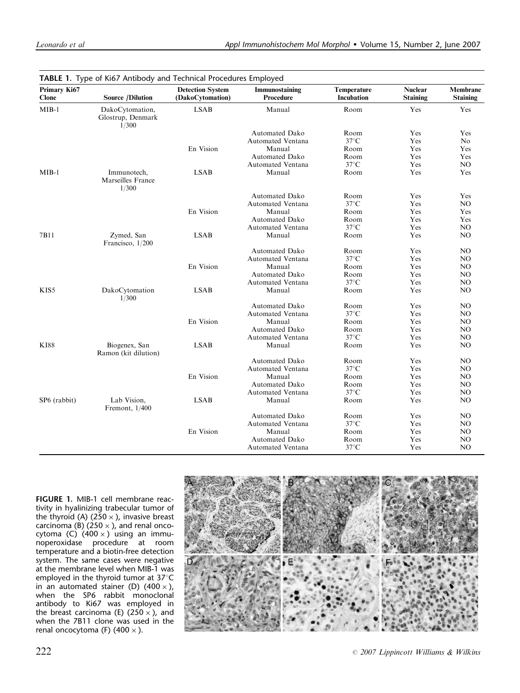| Primary Ki67<br>Clone    | <b>Source /Dilution</b>                       | <b>Detection System</b><br>(DakoCytomation) | Immunostaining<br>Procedure | Temperature<br>Incubation | <b>Nuclear</b><br><b>Staining</b> | Membrane<br>Staining |
|--------------------------|-----------------------------------------------|---------------------------------------------|-----------------------------|---------------------------|-----------------------------------|----------------------|
| $MIB-1$                  | DakoCytomation,<br>Glostrup, Denmark<br>1/300 | <b>LSAB</b>                                 | Manual                      | Room                      | Yes                               | Yes                  |
|                          |                                               |                                             | <b>Automated Dako</b>       | Room                      | Yes                               | Yes                  |
|                          |                                               |                                             | Automated Ventana           | $37^{\circ}$ C            | Yes                               | N <sub>0</sub>       |
|                          |                                               | En Vision                                   | Manual                      | Room                      | Yes                               | Yes                  |
|                          |                                               |                                             | <b>Automated Dako</b>       | Room                      | Yes                               | Yes                  |
|                          |                                               |                                             | Automated Ventana           | $37^{\circ}$ C            | Yes                               | NO                   |
| $MIB-1$                  | Immunotech,<br>Marseilles France<br>1/300     | <b>LSAB</b>                                 | Manual                      | Room                      | Yes                               | Yes                  |
|                          |                                               |                                             | Automated Dako              | Room                      | Yes                               | Yes                  |
|                          |                                               |                                             | Automated Ventana           | $37^{\circ}$ C            | Yes                               | NO.                  |
|                          |                                               | En Vision                                   | Manual                      | Room                      | Yes                               | Yes                  |
|                          |                                               |                                             | <b>Automated Dako</b>       | Room                      | Yes                               | Yes                  |
|                          |                                               |                                             | <b>Automated Ventana</b>    | $37^{\circ}$ C            | Yes                               | NO                   |
| 7B11                     | Zymed, San<br>Francisco, 1/200                | <b>LSAB</b>                                 | Manual                      | Room                      | Yes                               | NO                   |
|                          |                                               |                                             | <b>Automated Dako</b>       | Room                      | Yes                               | NO                   |
|                          |                                               |                                             | Automated Ventana           | $37^{\circ}\textrm{C}$    | Yes                               | NO                   |
|                          |                                               | En Vision                                   | Manual                      | Room                      | Yes                               | NO                   |
|                          |                                               |                                             | Automated Dako              | Room                      | Yes                               | NO                   |
|                          |                                               |                                             | Automated Ventana           | $37^{\circ}$ C            | Yes                               | NO                   |
| KIS5                     | DakoCytomation<br>1/300                       | <b>LSAB</b>                                 | Manual                      | Room                      | Yes                               | NO                   |
|                          |                                               |                                             | Automated Dako              | Room                      | Yes                               | NO                   |
|                          |                                               |                                             | Automated Ventana           | $37^{\circ}$ C            | Yes                               | NO.                  |
|                          |                                               | En Vision                                   | Manual                      | Room                      | Yes                               | NO                   |
|                          |                                               |                                             | <b>Automated Dako</b>       | Room                      | Yes                               | NO                   |
|                          |                                               |                                             | Automated Ventana           | $37^{\circ}$ C            | Yes                               | N <sub>O</sub>       |
| <b>KI88</b>              | Biogenex, San<br>Ramon (kit dilution)         | <b>LSAB</b>                                 | Manual                      | Room                      | Yes                               | N <sub>O</sub>       |
|                          |                                               |                                             | <b>Automated Dako</b>       | Room                      | Yes                               | NO                   |
|                          |                                               |                                             | <b>Automated Ventana</b>    | $37^{\circ}$ C            | Yes                               | NO                   |
|                          |                                               | En Vision                                   | Manual                      | Room                      | Yes                               | NO                   |
|                          |                                               |                                             | <b>Automated Dako</b>       | Room                      | Yes                               | NO                   |
|                          |                                               |                                             | Automated Ventana           | $37^{\circ}$ C            | Yes                               | NO                   |
| SP <sub>6</sub> (rabbit) | Lab Vision,<br>Fremont, 1/400                 | <b>LSAB</b>                                 | Manual                      | Room                      | Yes                               | NO                   |
|                          |                                               |                                             | <b>Automated Dako</b>       | Room                      | Yes                               | NO                   |
|                          |                                               |                                             | Automated Ventana           | $37^{\circ}$ C            | Yes                               | NO                   |
|                          |                                               | En Vision                                   | Manual                      | Room                      | Yes                               | NO                   |
|                          |                                               |                                             | <b>Automated Dako</b>       | Room                      | Yes                               | NO                   |
|                          |                                               |                                             | <b>Automated Ventana</b>    | $37^{\circ}$ C            | Yes                               | NO                   |

FIGURE 1. MIB-1 cell membrane reactivity in hyalinizing trabecular tumor of the thyroid (A) (250  $\times$ ), invasive breast carcinoma (B) (250  $\times$ ), and renal oncocytoma (C)  $(400 \times)$  using an immunoperoxidase procedure at room temperature and a biotin-free detection system. The same cases were negative at the membrane level when MIB-1 was employed in the thyroid tumor at  $37^{\circ}$ C in an automated stainer (D) (400 $\times$ ), when the SP6 rabbit monoclonal antibody to Ki67 was employed in the breast carcinoma (E) (250  $\times$ ), and when the 7B11 clone was used in the renal oncocytoma (F)  $(400 \times)$ .